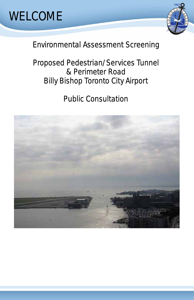### Environmental Assessment Screening

### Proposed Pedestrian/Services Tunnel & Perimeter Road Billy Bishop Toronto City Airport

Public Consultation





### WELCOME

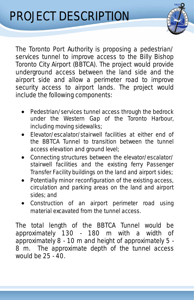# PROJECT DESCRIPTION



- Pedestrian/services tunnel access through the bedrock under the Western Gap of the Toronto Harbour, including moving sidewalks;
- Elevator/escalator/stairwell facilities at either end of the BBTCA Tunnel to transition between the tunnel access elevation and ground level;
- Connecting structures between the elevator/escalator/ stairwell facilities and the existing ferry Passenger Transfer Facility buildings on the land and airport sides;
- Potentially minor reconfiguration of the existing access, circulation and parking areas on the land and airport sides; and
- Construction of an airport perimeter road using material excavated from the tunnel access.

The total length of the BBTCA Tunnel would be approximately 130 - 180 m with a width of approximately 8 - 10 m and height of approximately 5 - 8 m. The approximate depth of the tunnel access would be 25 - 40.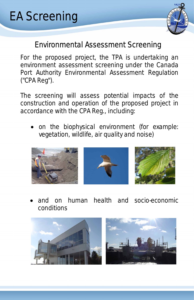### Environmental Assessment Screening

# EA Screening



For the proposed project, the TPA is undertaking an environment assessment screening under the Canada Port Authority Environmental Assessment Regulation ("CPA Reg").

The screening will assess potential impacts of the construction and operation of the proposed project in accordance with the CPA Reg., including:

• on the biophysical environment (for example: vegetation, wildlife, air quality and noise)



• and on human health and socio-economic conditions



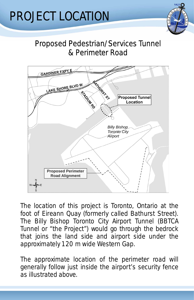### Proposed Pedestrian/Services Tunnel & Perimeter Road

## PROJECT LOCATION



The location of this project is Toronto, Ontario at the foot of Eireann Quay (formerly called Bathurst Street). The Billy Bishop Toronto City Airport Tunnel (BBTCA Tunnel or "the Project") would go through the bedrock that joins the land side and airport side under the approximately 120 m wide Western Gap.

The approximate location of the perimeter road will generally follow just inside the airport's security fence as illustrated above.

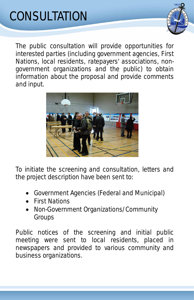# CONSULTATION



The public consultation will provide opportunities for interested parties (including government agencies, First Nations, local residents, ratepayers' associations, nongovernment organizations and the public) to obtain information about the proposal and provide comments and input.



To initiate the screening and consultation, letters and the project description have been sent to:

- Government Agencies (Federal and Municipal)
- First Nations
- Non-Government Organizations/Community Groups

Public notices of the screening and initial public meeting were sent to local residents, placed in newspapers and provided to various community and business organizations.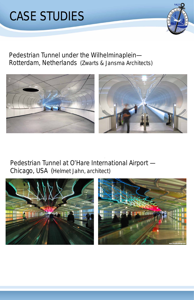

#### Pedestrian Tunnel under the Wilhelminaplein— Rotterdam, Netherlands (*Zwarts & Jansma Architects)*



![](_page_5_Picture_3.jpeg)

#### Pedestrian Tunnel at O'Hare International Airport — Chicago, USA (*Helmet Jahn, architect)*

![](_page_5_Picture_5.jpeg)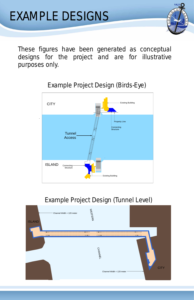## EXAMPLE DESIGNS

![](_page_6_Picture_1.jpeg)

These figures have been generated as conceptual designs for the project and are for illustrative purposes only.

#### Example Project Design (Birds-Eye)

![](_page_6_Figure_4.jpeg)

#### Example Project Design (Tunnel Level)

 $\leq$ 

Channel Width = 120 meter

![](_page_6_Picture_7.jpeg)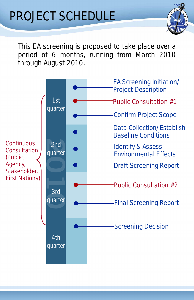# PROJECT SCHEDULE

![](_page_7_Picture_1.jpeg)

This EA screening is proposed to take place over a period of 6 months, running from March 2010 through August 2010.

![](_page_7_Figure_3.jpeg)

#### Screening Decision

4th quarter

Continuous **Consultation** *(Public, Agency, Stakeholder, First Nations)*